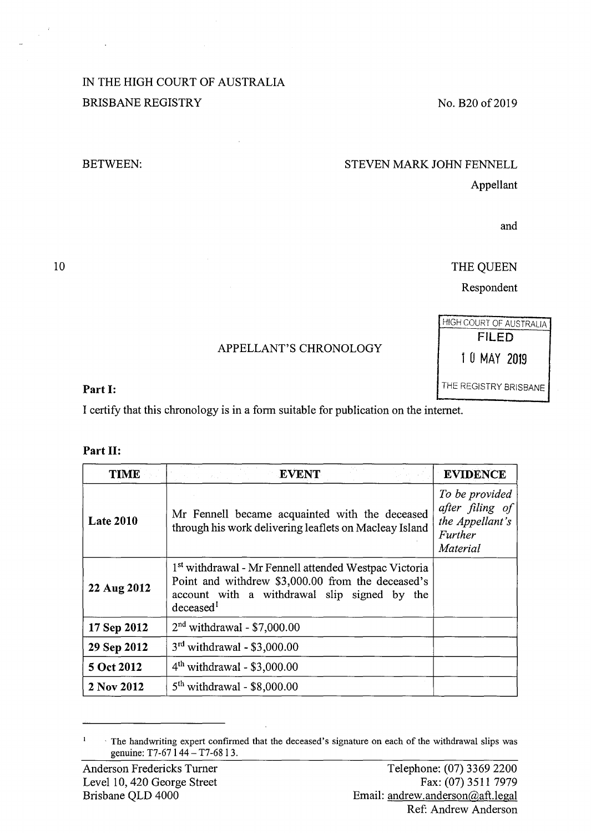## IN THE HIGH COURT OF AUSTRALIA BRISBANE REGISTRY

BETWEEN:

# No. B20 of 2019

#### STEVEN MARK JOHN FENNELL

Appellant

and

THE QUEEN

Respondent

## APPELLANT'S CHRONOLOGY

### **Part I:** THE REGISTRY BRISBANE

I certify that this chronology is in a form suitable for publication on the internet.

#### **Part** II:

| TIME             | <b>EVENT</b><br>ta sa Kabupatén                                                                                                                                                                | <b>EVIDENCE</b>                                                             |
|------------------|------------------------------------------------------------------------------------------------------------------------------------------------------------------------------------------------|-----------------------------------------------------------------------------|
| <b>Late 2010</b> | Mr Fennell became acquainted with the deceased<br>through his work delivering leaflets on Macleay Island                                                                                       | To be provided<br>after filing of<br>the Appellant's<br>Further<br>Material |
| 22 Aug 2012      | 1 <sup>st</sup> withdrawal - Mr Fennell attended Westpac Victoria<br>Point and withdrew \$3,000.00 from the deceased's<br>account with a withdrawal slip signed by the<br>decased <sup>1</sup> |                                                                             |
| 17 Sep 2012      | $2nd$ withdrawal - \$7,000.00                                                                                                                                                                  |                                                                             |
| 29 Sep 2012      | $3rd$ withdrawal - \$3,000.00                                                                                                                                                                  |                                                                             |
| 5 Oct 2012       | $4th$ withdrawal - \$3,000.00                                                                                                                                                                  |                                                                             |
| 2 Nov 2012       | $5th$ withdrawal - \$8,000.00                                                                                                                                                                  |                                                                             |

<sup>-</sup> The handwriting expert confirmed that the deceased's signature on each of the withdrawal slips was  $\,$   $\,$ genuine: T7-67 1 44 - T7-68 1 3.

10

HIGH COURT OF AUSTRALIA FILED 1 0 MAY 2019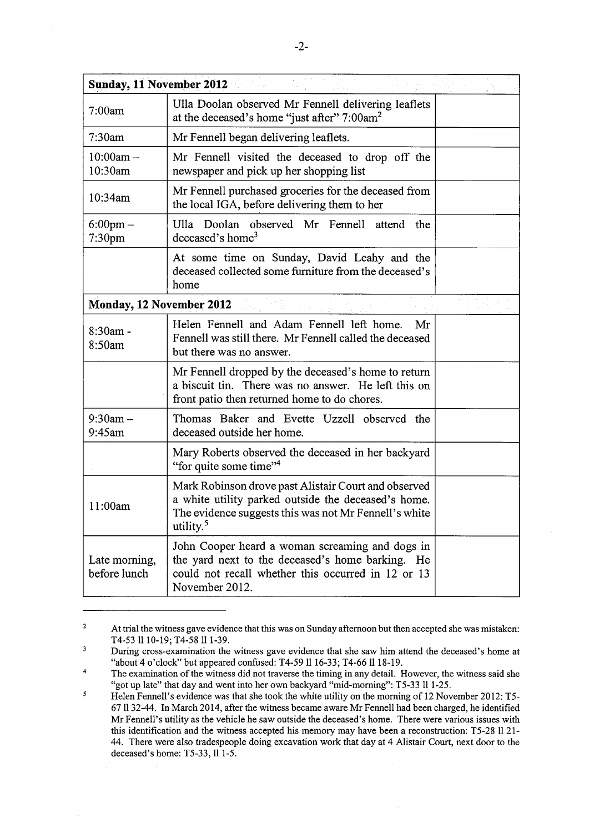| <b>Sunday, 11 November 2012</b>          |                                                                                                                                                                                               |  |  |  |
|------------------------------------------|-----------------------------------------------------------------------------------------------------------------------------------------------------------------------------------------------|--|--|--|
| 7:00am                                   | Ulla Doolan observed Mr Fennell delivering leaflets<br>at the deceased's home "just after" 7:00am <sup>2</sup>                                                                                |  |  |  |
| 7:30am                                   | Mr Fennell began delivering leaflets.                                                                                                                                                         |  |  |  |
| $10:00am -$<br>10:30am                   | Mr Fennell visited the deceased to drop off the<br>newspaper and pick up her shopping list                                                                                                    |  |  |  |
| 10:34am                                  | Mr Fennell purchased groceries for the deceased from<br>the local IGA, before delivering them to her                                                                                          |  |  |  |
| $6:00 \text{pm} -$<br>7:30 <sub>pm</sub> | Ulla Doolan observed Mr Fennell attend<br>the<br>deceased's home <sup>3</sup>                                                                                                                 |  |  |  |
|                                          | At some time on Sunday, David Leahy and the<br>deceased collected some furniture from the deceased's<br>home                                                                                  |  |  |  |
| Monday, 12 November 2012                 |                                                                                                                                                                                               |  |  |  |
| $8:30am -$<br>8:50am                     | Helen Fennell and Adam Fennell left home.<br>Mr<br>Fennell was still there. Mr Fennell called the deceased<br>but there was no answer.                                                        |  |  |  |
|                                          | Mr Fennell dropped by the deceased's home to return<br>a biscuit tin. There was no answer. He left this on<br>front patio then returned home to do chores.                                    |  |  |  |
| $9:30$ am $-$<br>9:45am                  | Thomas Baker and Evette Uzzell observed the<br>deceased outside her home.                                                                                                                     |  |  |  |
|                                          | Mary Roberts observed the deceased in her backyard<br>"for quite some time" <sup>4</sup>                                                                                                      |  |  |  |
| 11:00am                                  | Mark Robinson drove past Alistair Court and observed<br>a white utility parked outside the deceased's home.<br>The evidence suggests this was not Mr Fennell's white<br>utility. <sup>5</sup> |  |  |  |
| Late morning,<br>before lunch            | John Cooper heard a woman screaming and dogs in<br>the yard next to the deceased's home barking. He<br>could not recall whether this occurred in 12 or 13<br>November 2012.                   |  |  |  |

<sup>2</sup>  At trial the witness gave evidence that this was on Sunday afternoon but then accepted she was mistaken: T4-53 1110-19; T4-58 111-39.

 $\overline{3}$ During cross-examination the witness gave evidence that she saw him attend the deceased's home at "about 4 o'clock" but appeared confused: T4-59 1116-33; T4-66 ll 18-19.

<sup>4</sup>  The examination of the witness did not traverse the timing in any detail. However, the witness said she "got up late" that day and went into her own backyard "mid-morning": T5-33 ll 1-25.

 $\mathcal{S}$ Helen Fennell's evidence was that she took the white utility on the morning of 12 November 2012: T5- 67 ll 32-44. In March 2014, after the witness became aware Mr Fennell had been charged, he identified Mr Fennell's utility as the vehicle he saw outside the deceased's home. There were various issues with this identification and the witness accepted his memory may have been a reconstruction: T5-28 1121- 44. There were also tradespeople doing excavation work that day at 4 Alistair Court, next door to the deceased's home: T5-33, ll 1-5.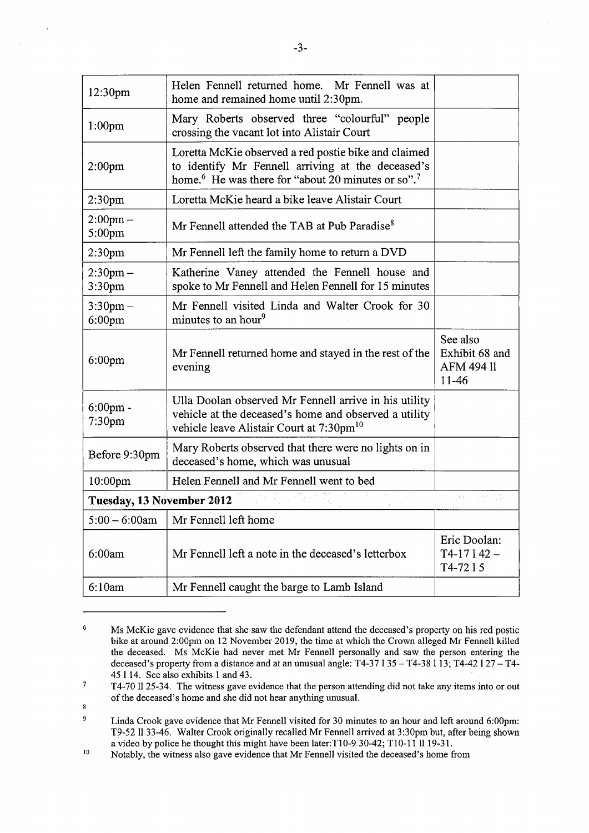| 12:30pm                             | Helen Fennell returned home. Mr Fennell was at<br>home and remained home until 2:30pm.                                                                                                  |                                                          |  |  |
|-------------------------------------|-----------------------------------------------------------------------------------------------------------------------------------------------------------------------------------------|----------------------------------------------------------|--|--|
| 1:00 <sub>pm</sub>                  | Mary Roberts observed three "colourful" people<br>crossing the vacant lot into Alistair Court                                                                                           |                                                          |  |  |
| 2:00 <sub>pm</sub>                  | Loretta McKie observed a red postie bike and claimed<br>to identify Mr Fennell arriving at the deceased's<br>home. <sup>6</sup> He was there for "about 20 minutes or so". <sup>7</sup> |                                                          |  |  |
| 2:30 <sub>pm</sub>                  | Loretta McKie heard a bike leave Alistair Court                                                                                                                                         |                                                          |  |  |
| $2:00$ pm $-$<br>5:00pm             | Mr Fennell attended the TAB at Pub Paradise <sup>8</sup>                                                                                                                                |                                                          |  |  |
| 2:30 <sub>pm</sub>                  | Mr Fennell left the family home to return a DVD                                                                                                                                         |                                                          |  |  |
| $2:30$ pm $-$<br>3:30 <sub>pm</sub> | Katherine Vaney attended the Fennell house and<br>spoke to Mr Fennell and Helen Fennell for 15 minutes                                                                                  |                                                          |  |  |
| $3:30$ pm $-$<br>$6:00$ pm          | Mr Fennell visited Linda and Walter Crook for 30<br>minutes to an hour <sup>9</sup>                                                                                                     |                                                          |  |  |
| $6:00$ pm                           | Mr Fennell returned home and stayed in the rest of the<br>evening                                                                                                                       | See also<br>Exhibit 68 and<br><b>AFM 494 11</b><br>11-46 |  |  |
| $6:00$ pm -<br>7:30pm               | Ulla Doolan observed Mr Fennell arrive in his utility<br>vehicle at the deceased's home and observed a utility<br>vehicle leave Alistair Court at 7:30pm <sup>10</sup>                  |                                                          |  |  |
| Before 9:30pm                       | Mary Roberts observed that there were no lights on in<br>deceased's home, which was unusual                                                                                             |                                                          |  |  |
| 10:00pm                             | Helen Fennell and Mr Fennell went to bed                                                                                                                                                |                                                          |  |  |
| Tuesday, 13 November 2012           |                                                                                                                                                                                         |                                                          |  |  |
| $5:00 - 6:00$ am                    | Mr Fennell left home                                                                                                                                                                    |                                                          |  |  |
| 6:00am                              | Mr Fennell left a note in the deceased's letterbox                                                                                                                                      | Eric Doolan:<br>$T4-17142-$<br>T4-7215                   |  |  |
| 6:10am                              | Mr Fennell caught the barge to Lamb Island                                                                                                                                              |                                                          |  |  |

<sup>6</sup>  Ms McKie gave evidence that she saw the defendant attend the deceased's property on his red postie bike at around 2:00pm on 12 November 2019, the time at which the Crown alleged Mr Fennell killed the deceased. Ms McKie had never met Mr Fennell personally and saw the person entering the deceased's property from a distance and at an unusual angle:  $T4-37135 - T4-38113$ ; T4-42127 - T4-45 114. See also exhibits 1 and 43.

8

<sup>7</sup>  T4-70 1125-34. The witness gave evidence that the person attending did not take any items into or out of the deceased's home and she did not hear anything unusual.

<sup>9</sup>  Linda Crook gave evidence that Mr Fennell visited for 30 minutes to an hour and left around 6:00pm: T9-52 1133-46. Walter Crook originally recalled Mr Fennell arrived at 3:30pm but, after being shown

<sup>&</sup>lt;sup>10</sup> Notably, the witness also gave evidence that Mr Fennell visited the deceased's home from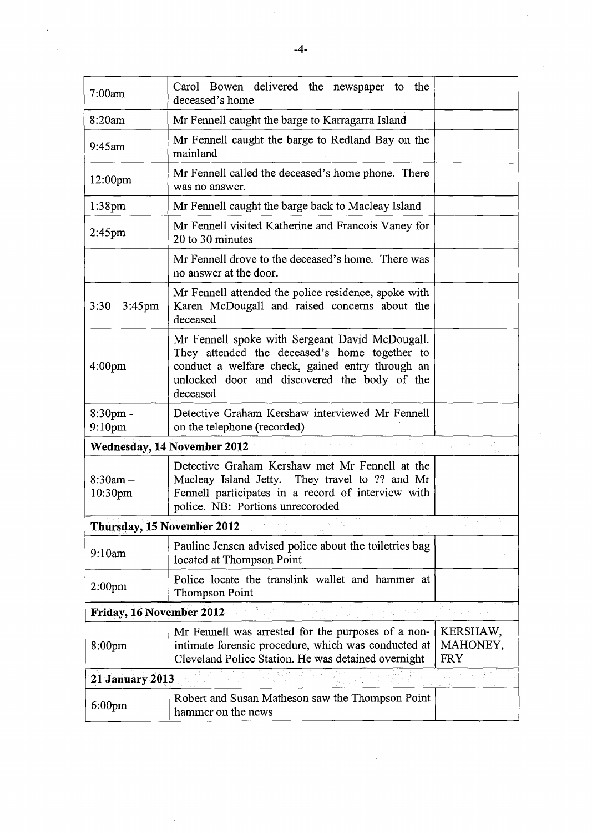|                                   | -4-                                                                                                                                                                                                              |                                    |
|-----------------------------------|------------------------------------------------------------------------------------------------------------------------------------------------------------------------------------------------------------------|------------------------------------|
| 7:00am                            | Carol Bowen delivered the newspaper to the<br>deceased's home                                                                                                                                                    |                                    |
| 8:20am                            | Mr Fennell caught the barge to Karragarra Island                                                                                                                                                                 |                                    |
| $9:45$ am                         | Mr Fennell caught the barge to Redland Bay on the<br>mainland                                                                                                                                                    |                                    |
| 12:00 <sub>pm</sub>               | Mr Fennell called the deceased's home phone. There<br>was no answer.                                                                                                                                             |                                    |
| $1:38$ pm                         | Mr Fennell caught the barge back to Macleay Island                                                                                                                                                               |                                    |
| 2:45 <sub>pm</sub>                | Mr Fennell visited Katherine and Francois Vaney for<br>20 to 30 minutes                                                                                                                                          |                                    |
|                                   | Mr Fennell drove to the deceased's home. There was<br>no answer at the door.                                                                                                                                     |                                    |
| $3:30 - 3:45$ pm                  | Mr Fennell attended the police residence, spoke with<br>Karen McDougall and raised concerns about the<br>deceased                                                                                                |                                    |
| 4:00 <sub>pm</sub>                | Mr Fennell spoke with Sergeant David McDougall.<br>They attended the deceased's home together to<br>conduct a welfare check, gained entry through an<br>unlocked door and discovered the body of the<br>deceased |                                    |
| $8:30pm$ -<br>9:10 <sub>pm</sub>  | Detective Graham Kershaw interviewed Mr Fennell<br>on the telephone (recorded)                                                                                                                                   |                                    |
|                                   | <b>Wednesday, 14 November 2012</b>                                                                                                                                                                               |                                    |
| $8:30am -$<br>10:30 <sub>pm</sub> | Detective Graham Kershaw met Mr Fennell at the<br>Macleay Island Jetty. They travel to ?? and Mr<br>Fennell participates in a record of interview with<br>police. NB: Portions unrecoroded                       |                                    |
|                                   | Thursday, 15 November 2012                                                                                                                                                                                       |                                    |
| 9:10am                            | Pauline Jensen advised police about the toiletries bag<br>located at Thompson Point                                                                                                                              |                                    |
| 2:00 <sub>pm</sub>                | Police locate the translink wallet and hammer at<br><b>Thompson Point</b>                                                                                                                                        |                                    |
| Friday, 16 November 2012          |                                                                                                                                                                                                                  |                                    |
| 8:00pm                            | Mr Fennell was arrested for the purposes of a non-<br>intimate forensic procedure, which was conducted at<br>Cleveland Police Station. He was detained overnight                                                 | KERSHAW,<br>MAHONEY,<br><b>FRY</b> |
| <b>21 January 2013</b>            |                                                                                                                                                                                                                  |                                    |
| $6:00$ pm                         | Robert and Susan Matheson saw the Thompson Point<br>hammer on the news                                                                                                                                           |                                    |
|                                   |                                                                                                                                                                                                                  |                                    |

 $\frac{1}{2} \left( \frac{1}{2} \right)$ 

 $\label{eq:1} \frac{1}{\sqrt{2}}\sum_{i=1}^n\frac{1}{\sqrt{2}}\sum_{i=1}^n\frac{1}{\sqrt{2}}\sum_{i=1}^n\frac{1}{\sqrt{2}}\sum_{i=1}^n\frac{1}{\sqrt{2}}\sum_{i=1}^n\frac{1}{\sqrt{2}}\sum_{i=1}^n\frac{1}{\sqrt{2}}\sum_{i=1}^n\frac{1}{\sqrt{2}}\sum_{i=1}^n\frac{1}{\sqrt{2}}\sum_{i=1}^n\frac{1}{\sqrt{2}}\sum_{i=1}^n\frac{1}{\sqrt{2}}\sum_{i=1}^n\frac{1$